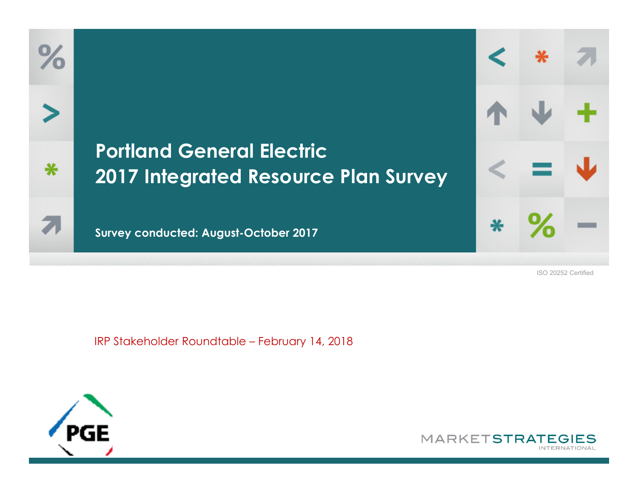## **Portland General Electric 2017 Integrated Resource Plan Survey**

**Survey conducted: August-October 2017**

ISO 20252 Certified

IRP Stakeholder Roundtable – February 14, 2018



 $\%$ 

⋇

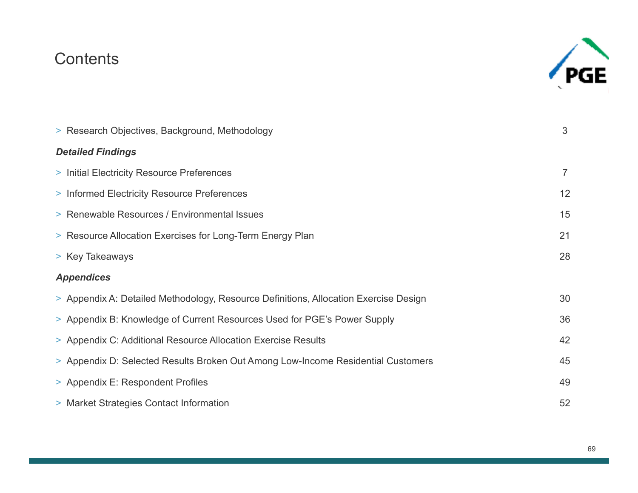#### Contents



| > Research Objectives, Background, Methodology                                       | 3              |
|--------------------------------------------------------------------------------------|----------------|
| <b>Detailed Findings</b>                                                             |                |
| > Initial Electricity Resource Preferences                                           | $\overline{7}$ |
| > Informed Electricity Resource Preferences                                          | 12             |
| > Renewable Resources / Environmental Issues                                         | 15             |
| > Resource Allocation Exercises for Long-Term Energy Plan                            | 21             |
| > Key Takeaways                                                                      | 28             |
| <b>Appendices</b>                                                                    |                |
| > Appendix A: Detailed Methodology, Resource Definitions, Allocation Exercise Design | 30             |
| > Appendix B: Knowledge of Current Resources Used for PGE's Power Supply             | 36             |
| > Appendix C: Additional Resource Allocation Exercise Results                        | 42             |
| > Appendix D: Selected Results Broken Out Among Low-Income Residential Customers     | 45             |
| > Appendix E: Respondent Profiles                                                    | 49             |
| > Market Strategies Contact Information                                              | 52             |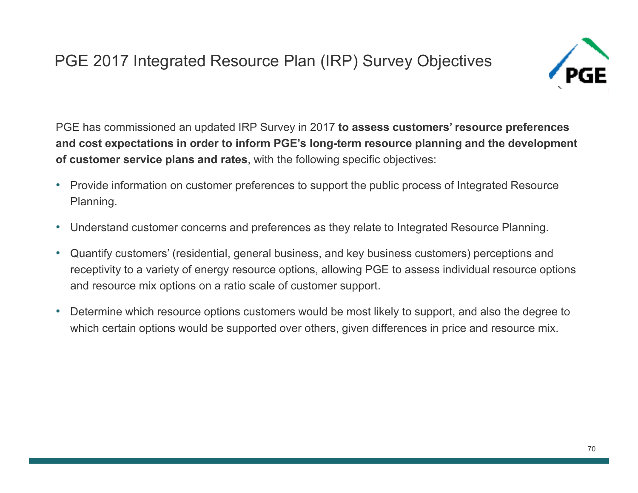## PGE 2017 Integrated Resource Plan (IRP) Survey Objectives



PGE has commissioned an updated IRP Survey in 2017 **to assess customers' resource preferences and cost expectations in order to inform PGE's long-term resource planning and the development of customer service plans and rates**, with the following specific objectives:

- Provide information on customer preferences to support the public process of Integrated Resource Planning.
- •Understand customer concerns and preferences as they relate to Integrated Resource Planning.
- • Quantify customers' (residential, general business, and key business customers) perceptions and receptivity to a variety of energy resource options, allowing PGE to assess individual resource options and resource mix options on a ratio scale of customer support.
- $\bullet$  Determine which resource options customers would be most likely to support, and also the degree to which certain options would be supported over others, given differences in price and resource mix.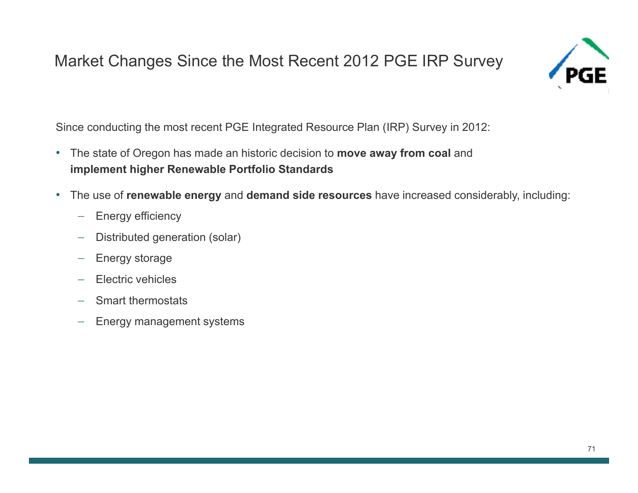#### Market Changes Since the Most Recent 2012 PGE IRP Survey



Since conducting the most recent PGE Integrated Resource Plan (IRP) Survey in 2012:

- The state of Oregon has made an historic decision to **move away from coal** and **implement higher Renewable Portfolio Standards**
- • The use of **renewable energy** and **demand side resources** have increased considerably, including:
	- $-$  Energy efficiency
	- $\overline{\phantom{m}}$ Distributed generation (solar)
	- $\overline{\phantom{0}}$ Energy storage
	- $\equiv$ Electric vehicles
	- $-$  Smart thermostats
	- $-$  Energy management systems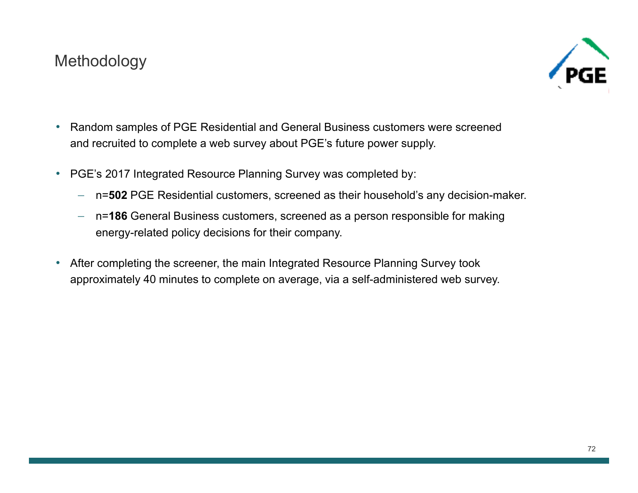#### Methodology



- $\bullet$  Random samples of PGE Residential and General Business customers were screened and recruited to complete a web survey about PGE's future power supply.
- $\bullet$  PGE's 2017 Integrated Resource Planning Survey was completed by:
	- n=**502** PGE Residential customers, screened as their household's any decision-maker.
	- n=**186** General Business customers, screened as a person responsible for making energy-related policy decisions for their company.
- $\bullet$  After completing the screener, the main Integrated Resource Planning Survey took approximately 40 minutes to complete on average, via a self-administered web survey.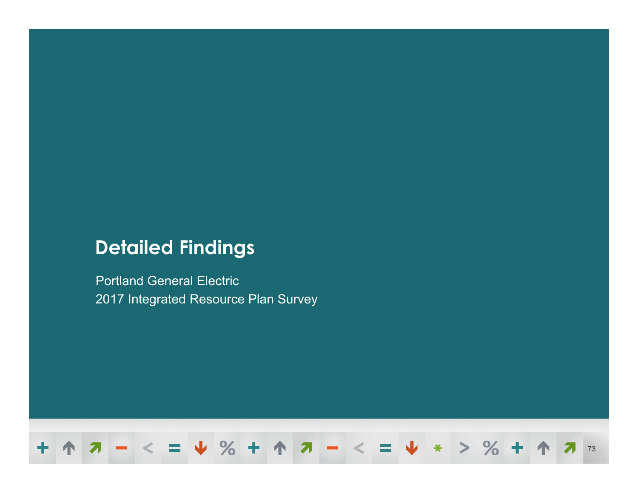## **Detailed Findings**

Portland General Electric 2017 Integrated Resource Plan Survey

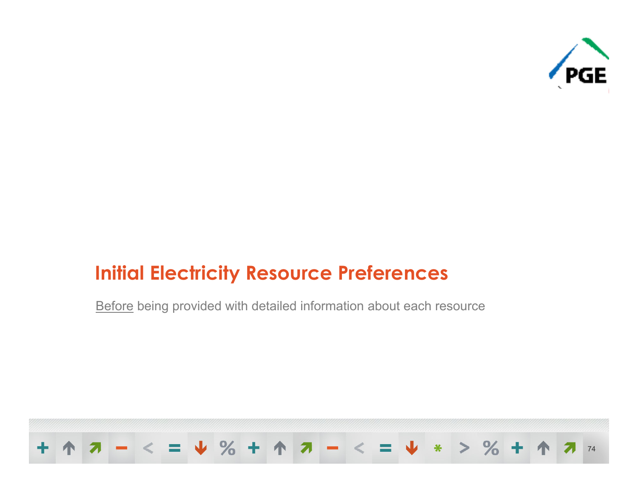

## **Initial Electricity Resource Preferences**

Before being provided with detailed information about each resource

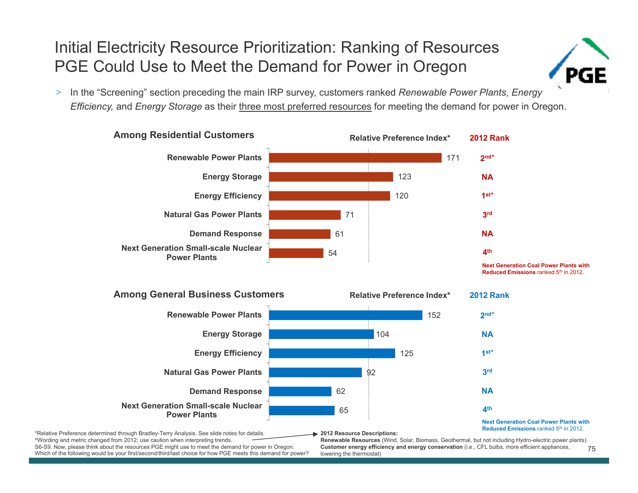#### Initial Electricity Resource Prioritization: Ranking of Resources PGE Could Use to Meet the Demand for Power in Oregon



> In the "Screening" section preceding the main IRP survey, customers ranked *Renewable Power Plants*, *Energy Efficiency,* and *Energy Storage* as their three most preferred resources for meeting the demand for power in Oregon.



**Next Generation Coal Power Plants with Reduced Emissions** ranked 5th in 2012.



\*Relative Preference determined through Bradley-Terry Analysis. See slide notes for details. ^Wording and metric changed from 2012; use caution when interpreting trends. S6-S9. Now, please think about the resources PGE might use to meet the demand for power in Oregon. **2012 Resource Descriptions:**

**Renewable Resources** (Wind, Solar, Biomass, Geothermal, but not including Hydro-electric power plants)

Which of the following would be your first/second/third/last choice for how PGE meets this demand for power?

75**Customer energy efficiency and energy conservation** (i.e., CFL bulbs, more efficient appliances, lowering the thermostat)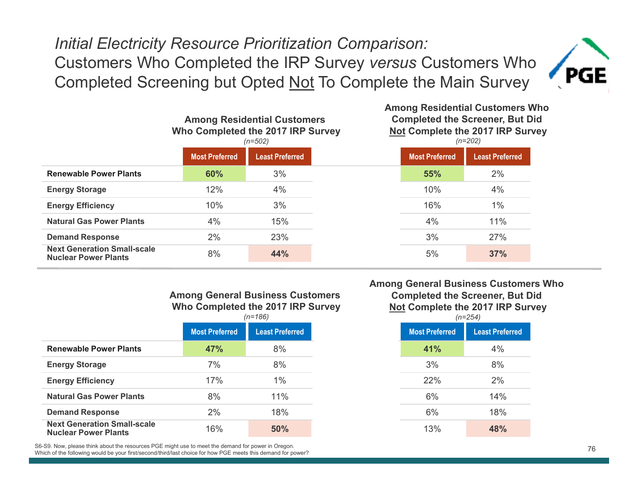#### *Initial Electricity Resource Prioritization Comparison:*  Customers Who Completed the IRP Survey *versus* Customers Who Completed Screening but Opted Not To Complete the Main Survey



|                                                                   | <b>Among Residential Customers</b><br>Who Completed the 2017 IRP Survey<br>$(n=502)$ |                        | <b>Completed the Screener, But Did</b><br><b>Not Complete the 2017 IRP Survey</b><br>$(n=202)$ |                       |                        |  |
|-------------------------------------------------------------------|--------------------------------------------------------------------------------------|------------------------|------------------------------------------------------------------------------------------------|-----------------------|------------------------|--|
|                                                                   | <b>Most Preferred</b>                                                                | <b>Least Preferred</b> |                                                                                                | <b>Most Preferred</b> | <b>Least Preferred</b> |  |
| <b>Renewable Power Plants</b>                                     | 60%                                                                                  | 3%                     |                                                                                                | 55%                   | 2%                     |  |
| <b>Energy Storage</b>                                             | 12%                                                                                  | 4%                     |                                                                                                | 10%                   | 4%                     |  |
| <b>Energy Efficiency</b>                                          | 10%                                                                                  | 3%                     |                                                                                                | 16%                   | $1\%$                  |  |
| <b>Natural Gas Power Plants</b>                                   | 4%                                                                                   | 15%                    |                                                                                                | 4%                    | 11%                    |  |
| <b>Demand Response</b>                                            | 2%                                                                                   | 23%                    |                                                                                                | 3%                    | 27%                    |  |
| <b>Next Generation Small-scale</b><br><b>Nuclear Power Plants</b> | 8%                                                                                   | 44%                    |                                                                                                | 5%                    | 37%                    |  |

#### **Among General Business Customers Who Completed the 2017 IRP Survey**

| <b>Most Preferred</b><br><b>Most Preferred</b><br><b>Least Preferred</b><br>47%<br>8%<br>41%<br>7%<br>8%<br>3%<br>1%<br>17%<br>22%<br>8%<br>11%<br>6%<br>18%<br>2%<br>6%<br>16%<br>50%<br>13% |                                 | $(n=186)$ |  | $(n=254)$ |  |
|-----------------------------------------------------------------------------------------------------------------------------------------------------------------------------------------------|---------------------------------|-----------|--|-----------|--|
|                                                                                                                                                                                               |                                 |           |  |           |  |
| <b>Energy Storage</b><br><b>Energy Efficiency</b>                                                                                                                                             | <b>Renewable Power Plants</b>   |           |  |           |  |
|                                                                                                                                                                                               |                                 |           |  |           |  |
|                                                                                                                                                                                               |                                 |           |  |           |  |
|                                                                                                                                                                                               | <b>Natural Gas Power Plants</b> |           |  |           |  |
| <b>Next Generation Small-scale</b><br><b>Nuclear Power Plants</b>                                                                                                                             | <b>Demand Response</b>          |           |  |           |  |
|                                                                                                                                                                                               |                                 |           |  |           |  |

S6-S9. Now, please think about the resources PGE might use to meet the demand for power in Oregon. Which of the following would be your first/second/third/last choice for how PGE meets this demand for power?

#### **Among General Business Customers Who Completed the Screener, But Did Not Complete the 2017 IRP Survey**

**Among Residential Customers Who** 

|               | $(n=186)$              |
|---------------|------------------------|
| eferred       | <b>Least Preferred</b> |
| $\frac{1}{2}$ | 8%                     |
| $\%$          | 8%                     |
| $\frac{1}{2}$ | $1\%$                  |
| $\%$          | 11%                    |
| $\%$          | 18%                    |
| $\frac{0}{0}$ | 50%                    |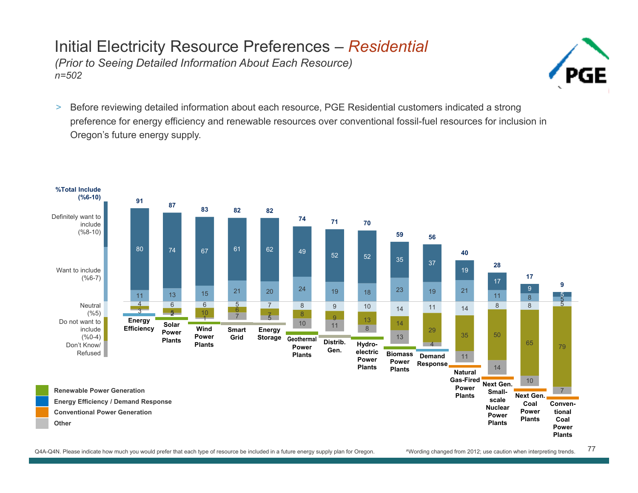#### Initial Electricity Resource Preferences – *Residential (Prior to Seeing Detailed Information About Each Resource) n=502*



 $\geq$  Before reviewing detailed information about each resource, PGE Residential customers indicated a strong preference for energy efficiency and renewable resources over conventional fossil-fuel resources for inclusion in Oregon's future energy supply.



77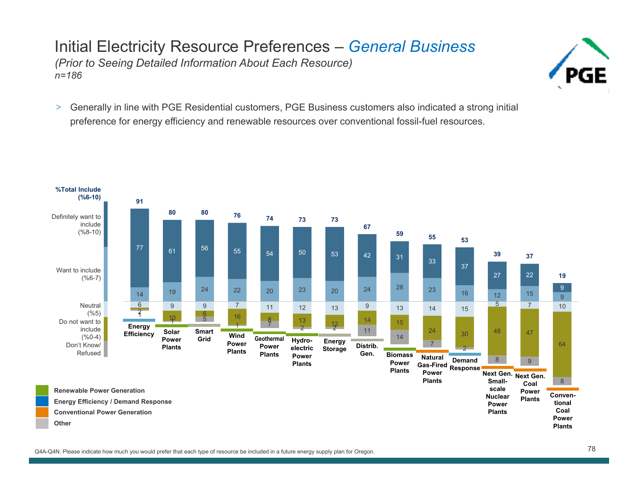#### Initial Electricity Resource Preferences – *General Business (Prior to Seeing Detailed Information About Each Resource) n=186*



> Generally in line with PGE Residential customers, PGE Business customers also indicated a strong initial preference for energy efficiency and renewable resources over conventional fossil-fuel resources.

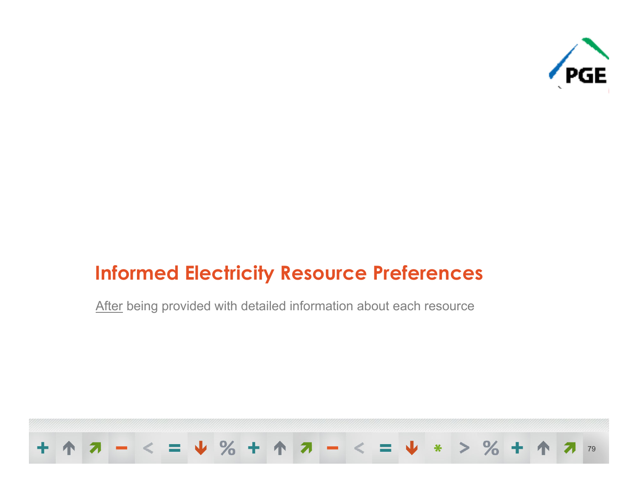

## **Informed Electricity Resource Preferences**

After being provided with detailed information about each resource

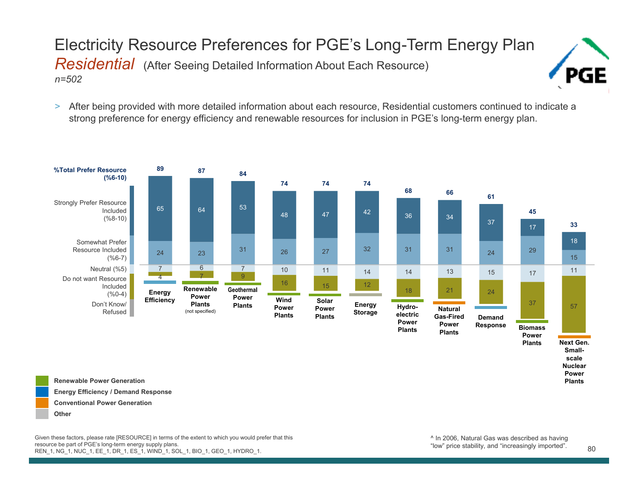#### Electricity Resource Preferences for PGE's Long-Term Energy Plan *Residential* (After Seeing Detailed Information About Each Resource) *n=502*



> After being provided with more detailed information about each resource, Residential customers continued to indicate a strong preference for energy efficiency and renewable resources for inclusion in PGE's long-term energy plan.



**Renewable Power GenerationEnergy Efficiency / Demand Response Conventional Power Generation Other**

Given these factors, please rate [RESOURCE] in terms of the extent to which you would prefer that this resource be part of PGE's long-term energy supply plans. REN\_1, NG\_1, NUC\_1, EE\_1, DR\_1, ES\_1, WIND\_1, SOL\_1, BIO\_1, GEO\_1, HYDRO\_1.

**Plants**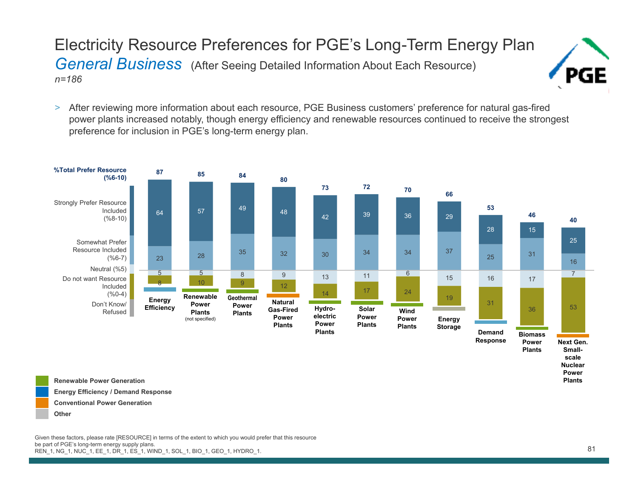Electricity Resource Preferences for PGE's Long-Term Energy Plan *General Business* (After Seeing Detailed Information About Each Resource) *n=186*

> After reviewing more information about each resource, PGE Business customers' preference for natural gas-fired power plants increased notably, though energy efficiency and renewable resources continued to receive the strongest preference for inclusion in PGE's long-term energy plan.



**Renewable Power GenerationEnergy Efficiency / Demand Response Conventional Power Generation Other**

Given these factors, please rate [RESOURCE] in terms of the extent to which you would prefer that this resource be part of PGE's long-term energy supply plans. REN\_1, NG\_1, NUC\_1, EE\_1, DR\_1, ES\_1, WIND\_1, SOL\_1, BIO\_1, GEO\_1, HYDRO\_1.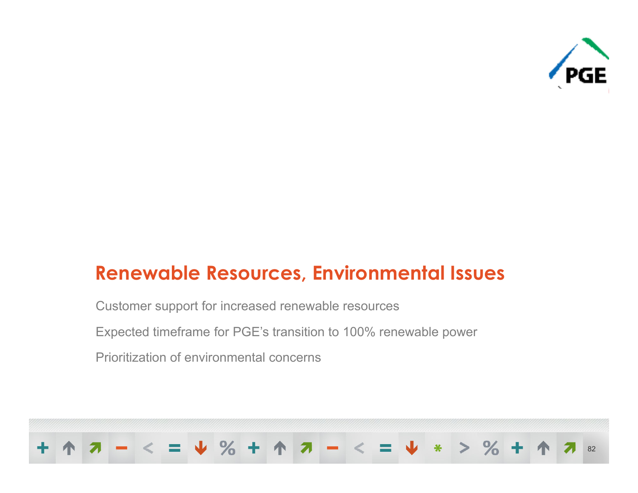

## **Renewable Resources, Environmental Issues**

Customer support for increased renewable resources

Expected timeframe for PGE's transition to 100% renewable power

Prioritization of environmental concerns

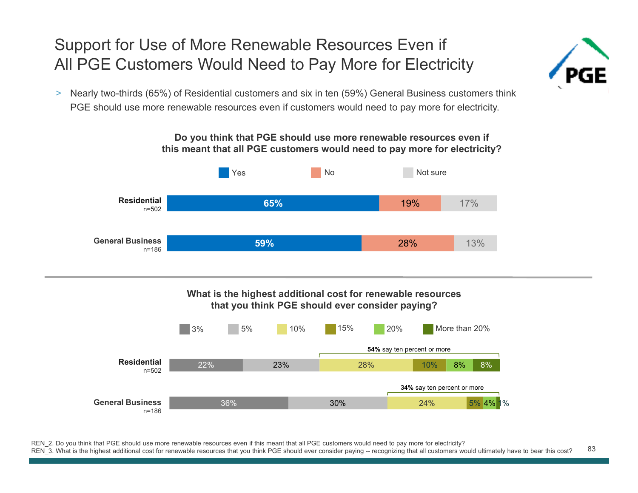#### Support for Use of More Renewable Resources Even if All PGE Customers Would Need to Pay More for Electricity

> Nearly two-thirds (65%) of Residential customers and six in ten (59%) General Business customers think PGE should use more renewable resources even if customers would need to pay more for electricity.



83REN\_2. Do you think that PGE should use more renewable resources even if this meant that all PGE customers would need to pay more for electricity? REN 3. What is the highest additional cost for renewable resources that you think PGE should ever consider paying -- recognizing that all customers would ultimately have to bear this cost?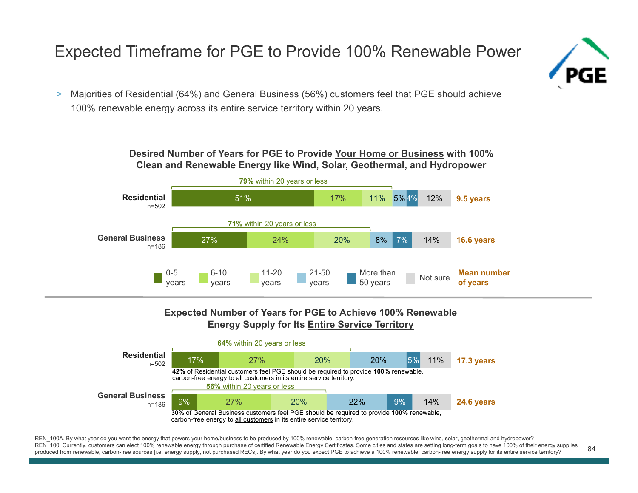#### Expected Timeframe for PGE to Provide 100% Renewable Power



 $\geq$  Majorities of Residential (64%) and General Business (56%) customers feel that PGE should achieve 100% renewable energy across its entire service territory within 20 years.

> **Desired Number of Years for PGE to Provide Your Home or Business with 100% Clean and Renewable Energy like Wind, Solar, Geothermal, and Hydropower**



#### **Expected Number of Years for PGE to Achieve 100% Renewable Energy Supply for Its Entire Service Territory**



84REN 100A. By what year do you want the energy that powers your home/business to be produced by 100% renewable, carbon-free generation resources like wind, solar, geothermal and hydropower? REN 100. Currently, customers can elect 100% renewable energy through purchase of certified Renewable Energy Certificates. Some cities and states are setting long-term goals to have 100% of their energy supplies produced from renewable, carbon-free sources [i.e. energy supply, not purchased RECs]. By what year do you expect PGE to achieve a 100% renewable, carbon-free energy supply for its entire service territory?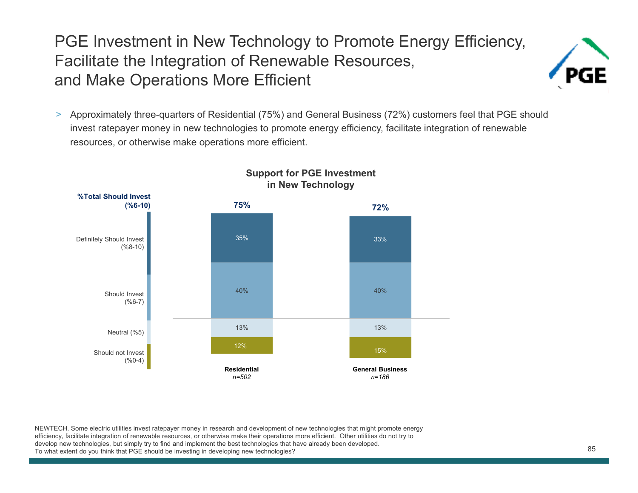#### PGE Investment in New Technology to Promote Energy Efficiency, Facilitate the Integration of Renewable Resources, and Make Operations More Efficient



> Approximately three-quarters of Residential (75%) and General Business (72%) customers feel that PGE should invest ratepayer money in new technologies to promote energy efficiency, facilitate integration of renewable resources, or otherwise make operations more efficient.



#### **Support for PGE Investment in New Technology**

NEWTECH. Some electric utilities invest ratepayer money in research and development of new technologies that might promote energy efficiency, facilitate integration of renewable resources, or otherwise make their operations more efficient. Other utilities do not try to develop new technologies, but simply try to find and implement the best technologies that have already been developed. To what extent do you think that PGE should be investing in developing new technologies?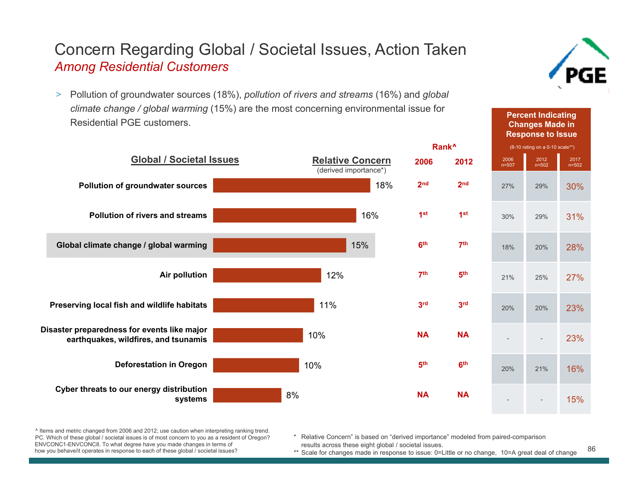#### Concern Regarding Global / Societal Issues, Action Taken *Among Residential Customers*

> Pollution of groundwater sources (18%), *pollution of rivers and streams* (16%) and *global climate change / global warming* (15%) are the most concerning environmental issue for Residential PGE customers.



^ Items and metric changed from 2006 and 2012; use caution when interpreting ranking trend. PC. Which of these global / societal issues is of most concern to you as a resident of Oregon? ENVCONC1-ENVCONC8. To what degree have you made changes in terms of how you behave/it operates in response to each of these global / societal issues?

\* Relative Concern" is based on "derived importance" modeled from paired-comparison results across these eight global / societal issues.

\*\* Scale for changes made in response to issue: 0=Little or no change, 10=A great deal of change



**Percent Indicating Changes Made in** 

86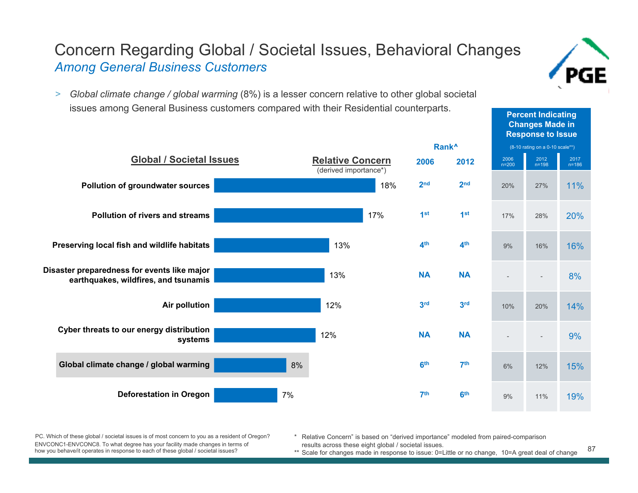**Percent Indicating** 

#### Concern Regarding Global / Societal Issues, Behavioral Changes *Among General Business Customers*

> *Global climate change / global warming* (8%) is a lesser concern relative to other global societal issues among General Business customers compared with their Residential counterparts.



PC. Which of these global / societal issues is of most concern to you as a resident of Oregon? ENVCONC1-ENVCONC8. To what degree has your facility made changes in terms of how you behave/it operates in response to each of these global / societal issues?

Relative Concern" is based on "derived importance" modeled from paired-comparison results across these eight global / societal issues.

87\*\* Scale for changes made in response to issue: 0=Little or no change, 10=A great deal of change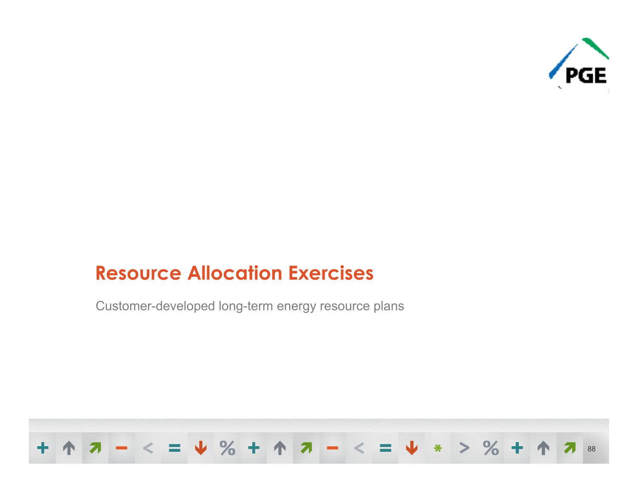

## **Resource Allocation Exercises**

Customer-developed long-term energy resource plans

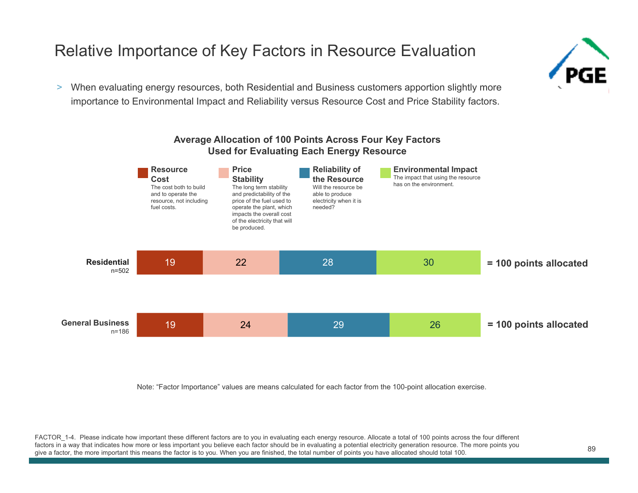## Relative Importance of Key Factors in Resource Evaluation

> When evaluating energy resources, both Residential and Business customers apportion slightly more importance to Environmental Impact and Reliability versus Resource Cost and Price Stability factors.



Note: "Factor Importance" values are means calculated for each factor from the 100-point allocation exercise.

FACTOR 1-4. Please indicate how important these different factors are to you in evaluating each energy resource. Allocate a total of 100 points across the four different factors in a way that indicates how more or less important you believe each factor should be in evaluating a potential electricity generation resource. The more points you give a factor, the more important this means the factor is to you. When you are finished, the total number of points you have allocated should total 100.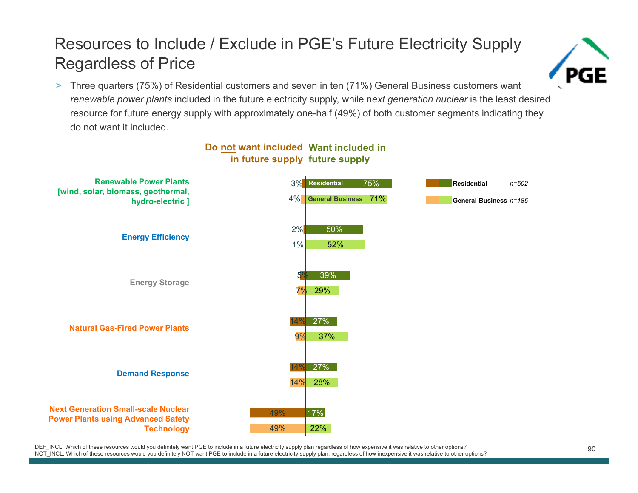#### Resources to Include / Exclude in PGE's Future Electricity Supply Regardless of Price



> Three quarters (75%) of Residential customers and seven in ten (71%) General Business customers want *renewable power plants* included in the future electricity supply, while n*ext generation nuclear* is the least desired resource for future energy supply with approximately one-half (49%) of both customer segments indicating they do not want it included.



#### **Do not want included Want included in in future supply future supply**

DEF\_INCL. Which of these resources would you definitely want PGE to include in a future electricity supply plan regardless of how expensive it was relative to other options?<br>NOT\_INCL. Which of these resources would you def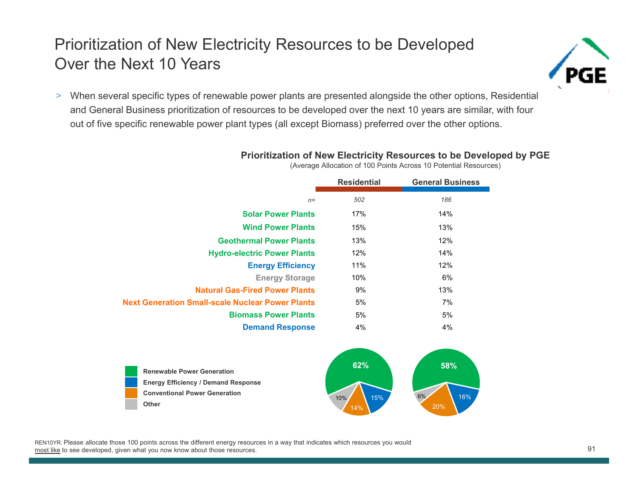#### Prioritization of New Electricity Resources to be Developed Over the Next 10 Years



> When several specific types of renewable power plants are presented alongside the other options, Residential and General Business prioritization of resources to be developed over the next 10 years are similar, with four out of five specific renewable power plant types (all except Biomass) preferred over the other options.

**Prioritization of New Electricity Resources to be Developed by PGE** 

|                                                         | <b>Residential</b> | <b>General Business</b> |
|---------------------------------------------------------|--------------------|-------------------------|
| $n=$                                                    | 502                | 186                     |
| <b>Solar Power Plants</b>                               | 17%                | 14%                     |
| <b>Wind Power Plants</b>                                | 15%                | 13%                     |
| <b>Geothermal Power Plants</b>                          | 13%                | 12%                     |
| <b>Hydro-electric Power Plants</b>                      | 12%                | 14%                     |
| <b>Energy Efficiency</b>                                | 11%                | 12%                     |
| <b>Energy Storage</b>                                   | 10%                | 6%                      |
| <b>Natural Gas-Fired Power Plants</b>                   | 9%                 | 13%                     |
| <b>Next Generation Small-scale Nuclear Power Plants</b> | 5%                 | 7%                      |
| <b>Biomass Power Plants</b>                             | 5%                 | 5%                      |
| <b>Demand Response</b>                                  | 4%                 | 4%                      |

(Average Allocation of 100 Points Across 10 Potential Resources)



REN10YR. Please allocate those 100 points across the different energy resources in a way that indicates which resources you would most like to see developed, given what you now know about those resources.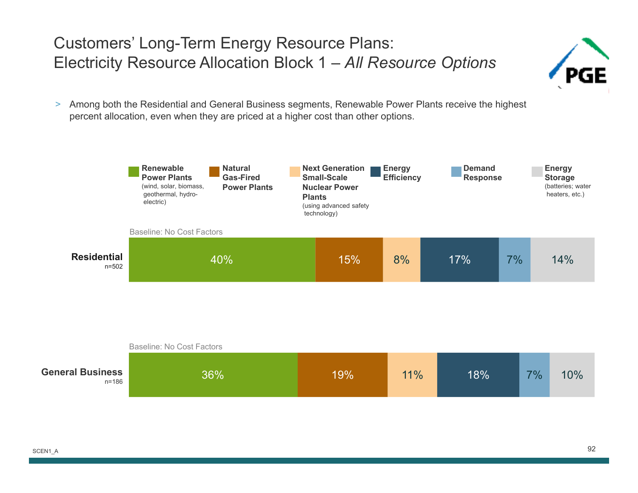#### Customers' Long-Term Energy Resource Plans: Electricity Resource Allocation Block 1 – *All Resource Options*



> Among both the Residential and General Business segments, Renewable Power Plants receive the highest percent allocation, even when they are priced at a higher cost than other options.



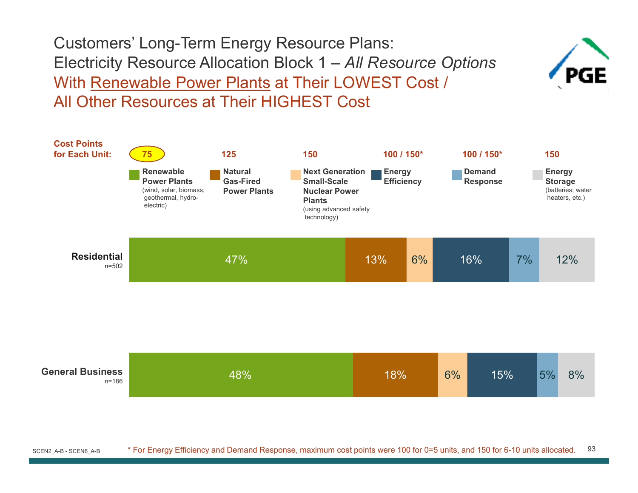With Renewable Power Plants at Their LOWEST Cost / All Other Resources at Their HIGHEST CostCustomers' Long-Term Energy Resource Plans: Electricity Resource Allocation Block 1 – *All Resource Options*



93SCEN2\_A-B - SCEN6\_A-B \* For Energy Efficiency and Demand Response, maximum cost points were 100 for 0=5 units, and 150 for 6-10 units allocated.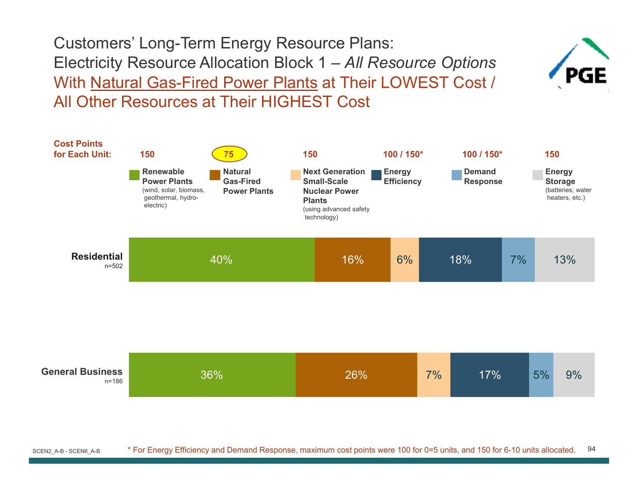With Natural Gas-Fired Power Plants at Their LOWEST Cost / All Other Resources at Their HIGHEST CostCustomers' Long-Term Energy Resource Plans: Electricity Resource Allocation Block 1 – *All Resource Options*



94SCEN2\_A-B - SCEN6\_A-B \* For Energy Efficiency and Demand Response, maximum cost points were 100 for 0=5 units, and 150 for 6-10 units allocated.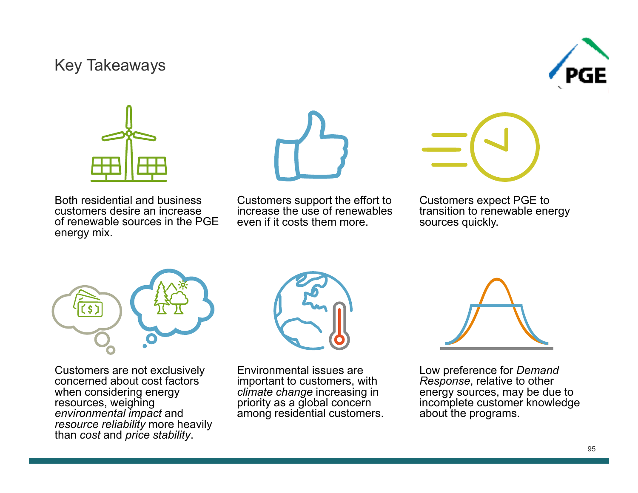#### Key Takeaways





Both residential and business customers desire an increaseof renewable sources in the PGE energy mix.



Customers support the effort to increase the use of renewables even if it costs them more.

Customers expect PGE to transition to renewable energy sources quickly.



Customers are not exclusively concerned about cost factors when considering energy resources, weighing *environmental impact* and *resource reliability* more heavily than *cost* and *price stability*.



Environmental issues are important to customers, with *climate change* increasing in priority as a global concern among residential customers.



Low preference for *Demand Response*, relative to other energy sources, may be due to incomplete customer knowledge about the programs.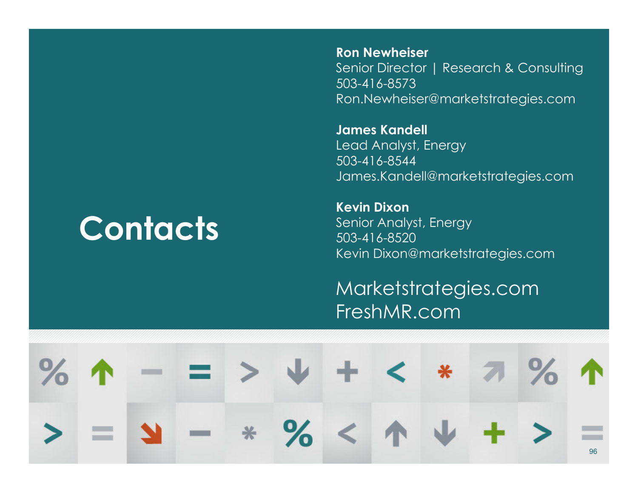## **Contacts**

**Ron Newheiser**Senior Director | Research & Consulting 503-416-8573Ron.Newheiser@marketstrategies.com

**James Kandell** Lead Analyst, Energy 503-416-8544James.Kandell@marketstrategies.com

**Kevin Dixon**Senior Analyst, Energy 503-416-8520Kevin Dixon@marketstrategies.com

Marketstrategies.com FreshMR.com

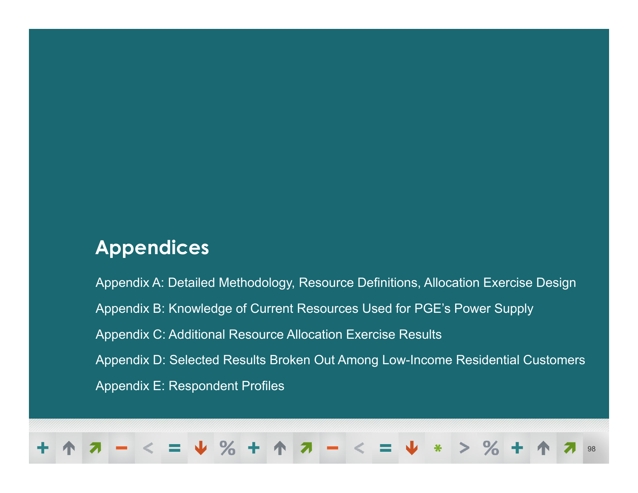#### **Appendices**

Appendix A: Detailed Methodology, Resource Definitions, Allocation Exercise Design Appendix B: Knowledge of Current Resources Used for PGE's Power Supply Appendix C: Additional Resource Allocation Exercise Results Appendix D: Selected Results Broken Out Among Low-Income Residential Customers Appendix E: Respondent Profiles

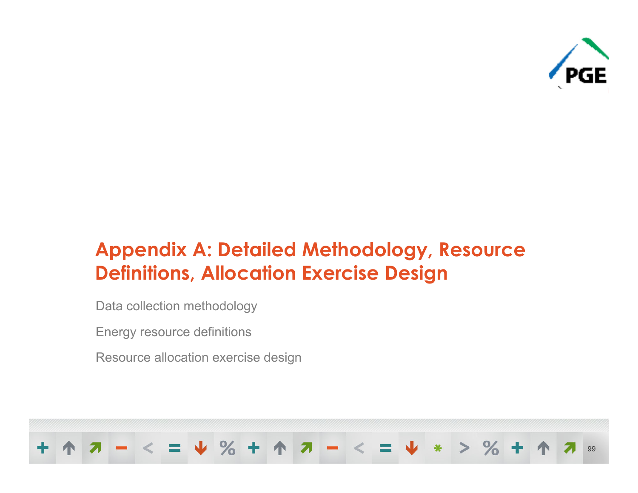

## **Appendix A: Detailed Methodology, Resource Definitions, Allocation Exercise Design**

Data collection methodology

Energy resource definitions

Resource allocation exercise design

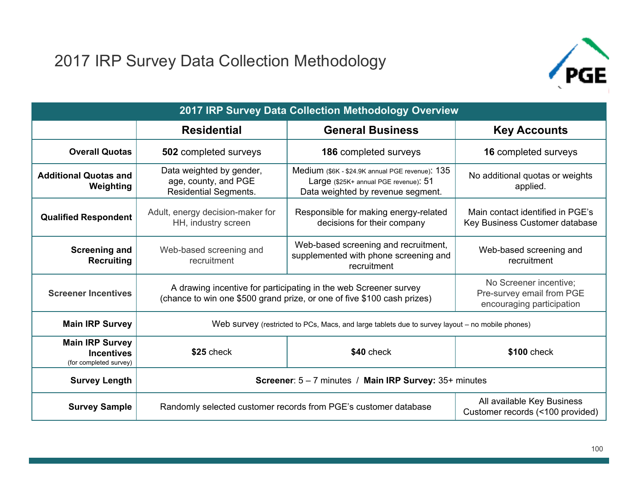#### 2017 IRP Survey Data Collection Methodology



| 2017 IRP Survey Data Collection Methodology Overview                  |                                                                                  |                                                                                                                                             |                                                                                  |  |  |  |  |  |
|-----------------------------------------------------------------------|----------------------------------------------------------------------------------|---------------------------------------------------------------------------------------------------------------------------------------------|----------------------------------------------------------------------------------|--|--|--|--|--|
|                                                                       | <b>Residential</b>                                                               | <b>General Business</b>                                                                                                                     | <b>Key Accounts</b>                                                              |  |  |  |  |  |
| <b>Overall Quotas</b>                                                 | 502 completed surveys                                                            | 186 completed surveys                                                                                                                       | 16 completed surveys                                                             |  |  |  |  |  |
| <b>Additional Quotas and</b><br>Weighting                             | Data weighted by gender,<br>age, county, and PGE<br><b>Residential Segments.</b> | Medium (\$6K - \$24.9K annual PGE revenue): 135<br>Large (\$25K+ annual PGE revenue): 51<br>Data weighted by revenue segment.               | No additional quotas or weights<br>applied.                                      |  |  |  |  |  |
| <b>Qualified Respondent</b>                                           | Adult, energy decision-maker for<br>HH, industry screen                          | Responsible for making energy-related<br>decisions for their company                                                                        | Main contact identified in PGE's<br>Key Business Customer database               |  |  |  |  |  |
| <b>Screening and</b><br><b>Recruiting</b>                             | Web-based screening and<br>recruitment                                           | Web-based screening and recruitment,<br>supplemented with phone screening and<br>recruitment                                                | Web-based screening and<br>recruitment                                           |  |  |  |  |  |
| <b>Screener Incentives</b>                                            |                                                                                  | A drawing incentive for participating in the web Screener survey<br>(chance to win one \$500 grand prize, or one of five \$100 cash prizes) | No Screener incentive;<br>Pre-survey email from PGE<br>encouraging participation |  |  |  |  |  |
| <b>Main IRP Survey</b>                                                |                                                                                  | Web survey (restricted to PCs, Macs, and large tablets due to survey layout – no mobile phones)                                             |                                                                                  |  |  |  |  |  |
| <b>Main IRP Survey</b><br><b>Incentives</b><br>(for completed survey) | \$25 check                                                                       | \$40 check                                                                                                                                  | \$100 check                                                                      |  |  |  |  |  |
| <b>Survey Length</b>                                                  |                                                                                  | Screener: 5 - 7 minutes / Main IRP Survey: 35+ minutes                                                                                      |                                                                                  |  |  |  |  |  |
| <b>Survey Sample</b>                                                  |                                                                                  | Randomly selected customer records from PGE's customer database                                                                             | All available Key Business<br>Customer records (<100 provided)                   |  |  |  |  |  |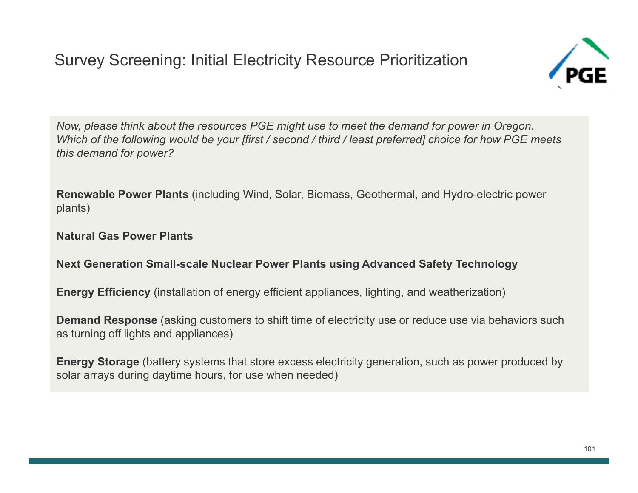#### Survey Screening: Initial Electricity Resource Prioritization



*Now, please think about the resources PGE might use to meet the demand for power in Oregon. Which of the following would be your [first / second / third / least preferred] choice for how PGE meets this demand for power?*

**Renewable Power Plants** (including Wind, Solar, Biomass, Geothermal, and Hydro-electric power plants)

**Natural Gas Power Plants**

#### **Next Generation Small-scale Nuclear Power Plants using Advanced Safety Technology**

**Energy Efficiency** (installation of energy efficient appliances, lighting, and weatherization)

**Demand Response** (asking customers to shift time of electricity use or reduce use via behaviors such as turning off lights and appliances)

**Energy Storage** (battery systems that store excess electricity generation, such as power produced by solar arrays during daytime hours, for use when needed)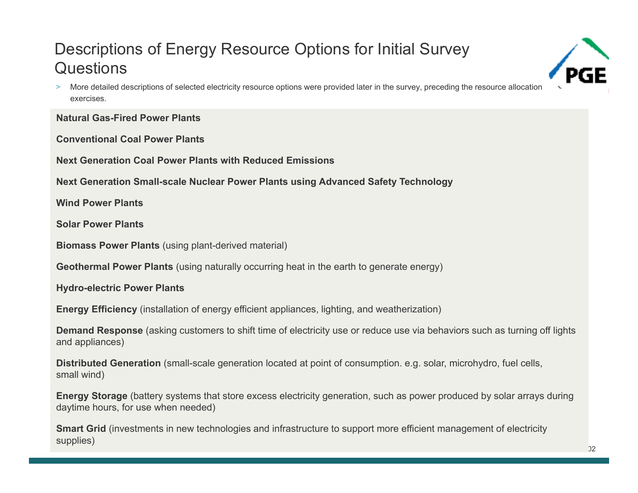## Descriptions of Energy Resource Options for Initial Survey **Questions**

> More detailed descriptions of selected electricity resource options were provided later in the survey, preceding the resource allocation exercises.

**Natural Gas-Fired Power Plants**

**Conventional Coal Power Plants**

**Next Generation Coal Power Plants with Reduced Emissions**

**Next Generation Small-scale Nuclear Power Plants using Advanced Safety Technology**

**Wind Power Plants**

**Solar Power Plants**

**Biomass Power Plants** (using plant-derived material)

**Geothermal Power Plants** (using naturally occurring heat in the earth to generate energy)

**Hydro-electric Power Plants**

**Energy Efficiency** (installation of energy efficient appliances, lighting, and weatherization)

**Demand Response** (asking customers to shift time of electricity use or reduce use via behaviors such as turning off lights and appliances)

**Distributed Generation** (small-scale generation located at point of consumption. e.g. solar, microhydro, fuel cells, small wind)

**Energy Storage** (battery systems that store excess electricity generation, such as power produced by solar arrays during daytime hours, for use when needed)

**Smart Grid** (investments in new technologies and infrastructure to support more efficient management of electricity supplies)

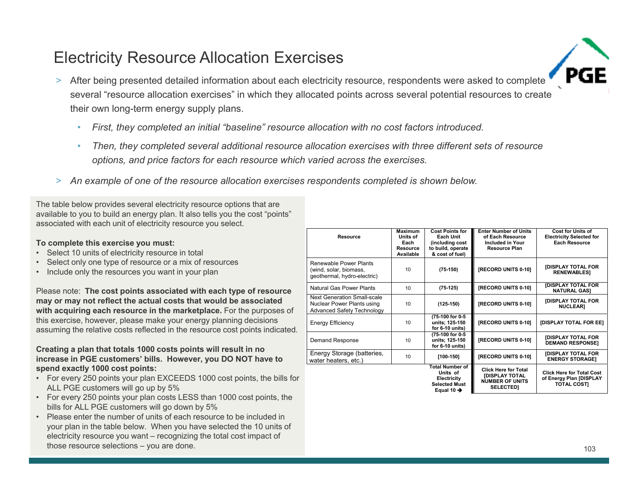#### Electricity Resource Allocation Exercises

- > After being presented detailed information about each electricity resource, respondents were asked to complete several "resource allocation exercises" in which they allocated points across several potential resources to create their own long-term energy supply plans.
	- •*First, they completed an initial "baseline" resource allocation with no cost factors introduced.*
	- • *Then, they completed several additional resource allocation exercises with three different sets of resource options, and price factors for each resource which varied across the exercises.*
- > *An example of one of the resource allocation exercises respondents completed is shown below.*

The table below provides several electricity resource options that are available to you to build an energy plan. It also tells you the cost "points" associated with each unit of electricity resource you select.

#### **To complete this exercise you must:**

- Select 10 units of electricity resource in total
- Select only one type of resource or a mix of resources
- Include only the resources you want in your plan

Please note: **The cost points associated with each type of resource may or may not reflect the actual costs that would be associated with acquiring each resource in the marketplace.** For the purposes of this exercise, however, please make your energy planning decisions assuming the relative costs reflected in the resource cost points indicated.

#### **Creating a plan that totals 1000 costs points will result in no increase in PGE customers' bills. However, you DO NOT have to spend exactly 1000 cost points:**

- For every 250 points your plan EXCEEDS 1000 cost points, the bills for ALL PGE customers will go up by 5%
- For every 250 points your plan costs LESS than 1000 cost points, the bills for ALL PGE customers will go down by 5%
- Please enter the number of units of each resource to be included in your plan in the table below. When you have selected the 10 units of electricity resource you want – recognizing the total cost impact of those resource selections – you are done.

| <b>Resource</b>                                                                                | Maximum<br>Units of<br>Each<br>Resource<br>Available | <b>Cost Points for</b><br>Each Unit<br>(including cost<br>to build, operate<br>& cost of fuel)      | <b>Enter Number of Units</b><br>of Each Resource<br><b>Included in Your</b><br><b>Resource Plan</b> | <b>Cost for Units of</b><br><b>Electricity Selected for</b><br><b>Each Resource</b> |
|------------------------------------------------------------------------------------------------|------------------------------------------------------|-----------------------------------------------------------------------------------------------------|-----------------------------------------------------------------------------------------------------|-------------------------------------------------------------------------------------|
| Renewable Power Plants<br>(wind, solar, biomass,<br>geothermal, hydro-electric)                | 10                                                   | $(75-150)$                                                                                          | [RECORD UNITS 0-10]                                                                                 | <b>[DISPLAY TOTAL FOR</b><br><b>RENEWABLEST</b>                                     |
| Natural Gas Power Plants                                                                       | 10                                                   | $(75-125)$                                                                                          | [RECORD UNITS 0-10]                                                                                 | <b>[DISPLAY TOTAL FOR</b><br><b>NATURAL GAS1</b>                                    |
| Next Generation Small-scale<br>Nuclear Power Plants using<br><b>Advanced Safety Technology</b> | 10                                                   | $(125-150)$                                                                                         | [RECORD UNITS 0-10]                                                                                 | <b>[DISPLAY TOTAL FOR</b><br><b>NUCLEARI</b>                                        |
| <b>Energy Efficiency</b>                                                                       | 10                                                   | (75-100 for 0-5<br>units; 125-150<br>for 6-10 units)                                                | [RECORD UNITS 0-10]                                                                                 | [DISPLAY TOTAL FOR EE]                                                              |
| Demand Response                                                                                | 10                                                   | (75-100 for 0-5<br>units; 125-150<br>for 6-10 units)                                                | [RECORD UNITS 0-10]                                                                                 | <b>[DISPLAY TOTAL FOR</b><br><b>DEMAND RESPONSEI</b>                                |
| Energy Storage (batteries,<br>water heaters, etc.)                                             | 10                                                   | $[100-150]$                                                                                         | [RECORD UNITS 0-10]                                                                                 | <b>[DISPLAY TOTAL FOR</b><br><b>ENERGY STORAGE1</b>                                 |
|                                                                                                |                                                      | <b>Total Number of</b><br>Units of<br>Electricity<br><b>Selected Must</b><br>Equal 10 $\rightarrow$ | <b>Click Here for Total</b><br><b>IDISPLAY TOTAL</b><br><b>NUMBER OF UNITS</b><br><b>SELECTED1</b>  | <b>Click Here for Total Cost</b><br>of Energy Plan [DISPLAY<br><b>TOTAL COSTI</b>   |

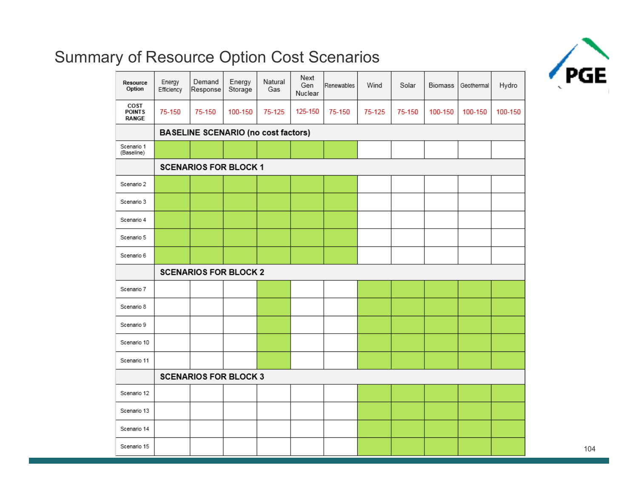# $\sqrt{C}$

#### Summary of Resource Option Cost Scenarios

| Resource<br>Option                    | Energy<br>Efficiency         | Demand<br>Response                  | Energy<br>Storage | Natural<br>Gas | Next<br>Gen<br>Nuclear | Renewables | Wind   | Solar  | <b>Biomass</b> | Geothermal | Hydro   |
|---------------------------------------|------------------------------|-------------------------------------|-------------------|----------------|------------------------|------------|--------|--------|----------------|------------|---------|
| COST<br><b>POINTS</b><br><b>RANGE</b> | 75-150                       | 75-150                              | 100-150           | 75-125         | 125-150                | 75-150     | 75-125 | 75-150 | 100-150        | 100-150    | 100-150 |
|                                       |                              | BASELINE SCENARIO (no cost factors) |                   |                |                        |            |        |        |                |            |         |
| Scenario 1<br>(Baseline)              |                              |                                     |                   |                |                        |            |        |        |                |            |         |
|                                       |                              | <b>SCENARIOS FOR BLOCK 1</b>        |                   |                |                        |            |        |        |                |            |         |
| Scenario 2                            |                              |                                     |                   |                |                        |            |        |        |                |            |         |
| Scenario 3                            |                              |                                     |                   |                |                        |            |        |        |                |            |         |
| Scenario 4                            |                              |                                     |                   |                |                        |            |        |        |                |            |         |
| Scenario 5                            |                              |                                     |                   |                |                        |            |        |        |                |            |         |
| Scenario 6                            |                              |                                     |                   |                |                        |            |        |        |                |            |         |
|                                       | <b>SCENARIOS FOR BLOCK 2</b> |                                     |                   |                |                        |            |        |        |                |            |         |
|                                       |                              |                                     |                   |                |                        |            |        |        |                |            |         |
| Scenario 7                            |                              |                                     |                   |                |                        |            |        |        |                |            |         |
| Scenario 8                            |                              |                                     |                   |                |                        |            |        |        |                |            |         |
| Scenario 9                            |                              |                                     |                   |                |                        |            |        |        |                |            |         |
| Scenario 10                           |                              |                                     |                   |                |                        |            |        |        |                |            |         |
| Scenario 11                           |                              |                                     |                   |                |                        |            |        |        |                |            |         |
|                                       |                              | <b>SCENARIOS FOR BLOCK 3</b>        |                   |                |                        |            |        |        |                |            |         |
| Scenario 12                           |                              |                                     |                   |                |                        |            |        |        |                |            |         |
| Scenario 13                           |                              |                                     |                   |                |                        |            |        |        |                |            |         |
| Scenario 14                           |                              |                                     |                   |                |                        |            |        |        |                |            |         |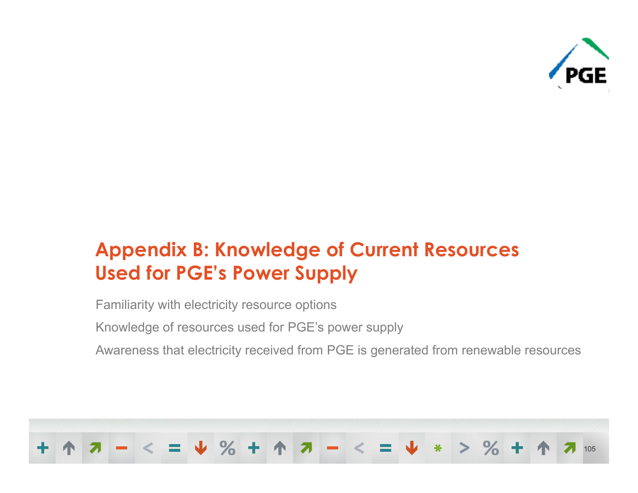

## **Appendix B: Knowledge of Current Resources Used for PGE's Power Supply**

Familiarity with electricity resource options

Knowledge of resources used for PGE's power supply

Awareness that electricity received from PGE is generated from renewable resources

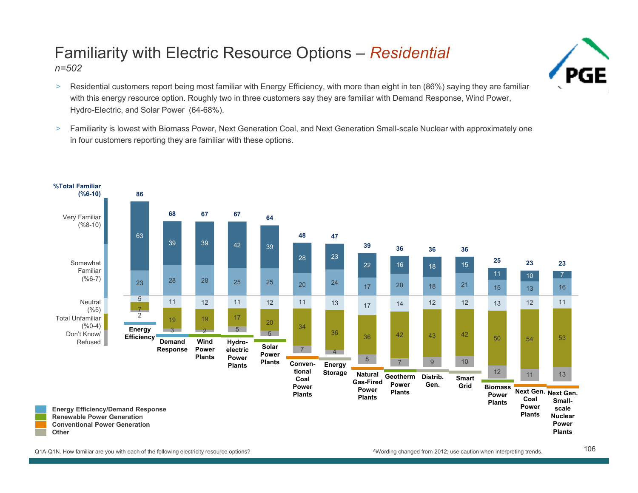## Familiarity with Electric Resource Options – *Residential*

*n=502*

- $\,>$  Residential customers report being most familiar with Energy Efficiency, with more than eight in ten (86%) saying they are familiar with this energy resource option. Roughly two in three customers say they are familiar with Demand Response, Wind Power, Hydro-Electric, and Solar Power (64-68%).
- $\,>$  Familiarity is lowest with Biomass Power, Next Generation Coal, and Next Generation Small-scale Nuclear with approximately one in four customers reporting they are familiar with these options.

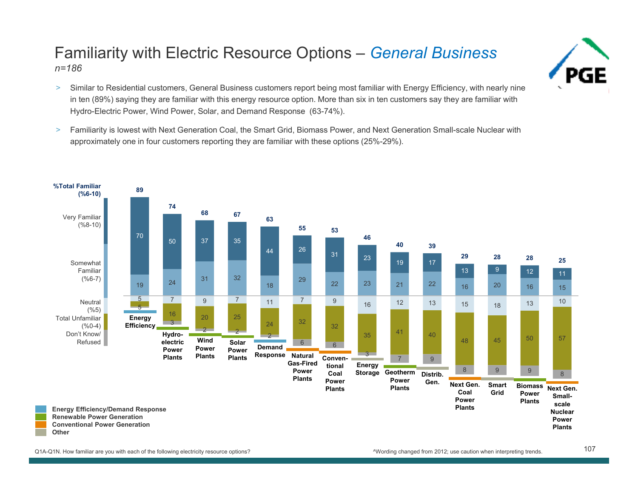#### Familiarity with Electric Resource Options – *General Business n=186*

- > Similar to Residential customers, General Business customers report being most familiar with Energy Efficiency, with nearly nine in ten (89%) saying they are familiar with this energy resource option. More than six in ten customers say they are familiar with Hydro-Electric Power, Wind Power, Solar, and Demand Response (63-74%).
- $\,>$  Familiarity is lowest with Next Generation Coal, the Smart Grid, Biomass Power, and Next Generation Small-scale Nuclear with approximately one in four customers reporting they are familiar with these options (25%-29%).



Q1A-Q1N. How familiar are you with each of the following electricity resource options?

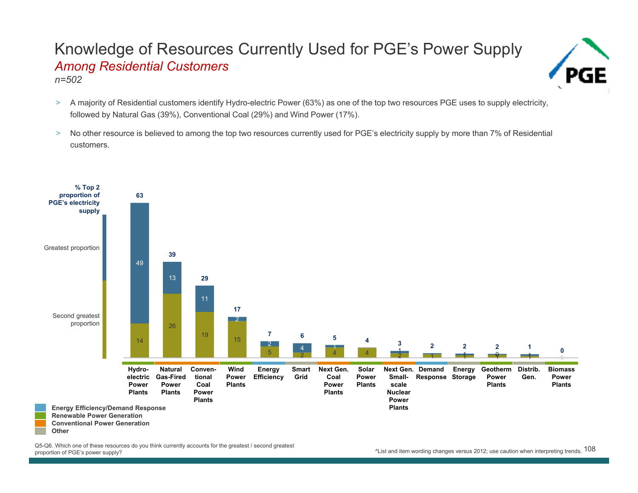#### Knowledge of Resources Currently Used for PGE's Power Supply *Among Residential Customers n=502*



- > A majority of Residential customers identify Hydro-electric Power (63%) as one of the top two resources PGE uses to supply electricity, followed by Natural Gas (39%), Conventional Coal (29%) and Wind Power (17%).
- > No other resource is believed to among the top two resources currently used for PGE's electricity supply by more than 7% of Residential customers.



Q5-Q6. Which one of these resources do you think currently accounts for the greatest / second greatest proportion of PGE's power supply?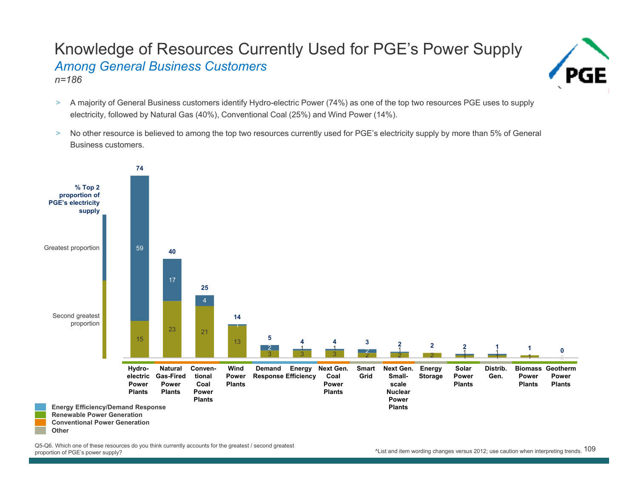#### Knowledge of Resources Currently Used for PGE's Power Supply *Among General Business Customers n=186*



- > A majority of General Business customers identify Hydro-electric Power (74%) as one of the top two resources PGE uses to supply electricity, followed by Natural Gas (40%), Conventional Coal (25%) and Wind Power (14%).
- $\, >$  No other resource is believed to among the top two resources currently used for PGE's electricity supply by more than 5% of General Business customers.



يرة. Which one or these resources do you think currently accounts for the greatest? second greatest and the control of PGE's power supply? Accounts in the greatest? second greatest and the control of PGE's power supply? Q5-Q6. Which one of these resources do you think currently accounts for the greatest / second greatest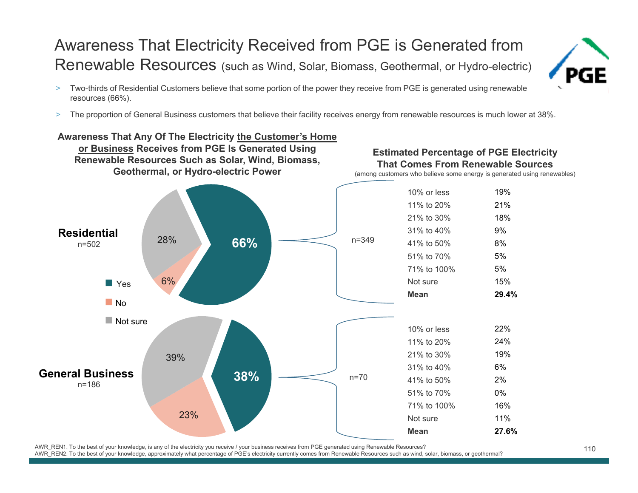#### Awareness That Electricity Received from PGE is Generated from Renewable Resources (such as Wind, Solar, Biomass, Geothermal, or Hydro-electric)



- > Two-thirds of Residential Customers believe that some portion of the power they receive from PGE is generated using renewable resources (66%).
- >The proportion of General Business customers that believe their facility receives energy from renewable resources is much lower at 38%.

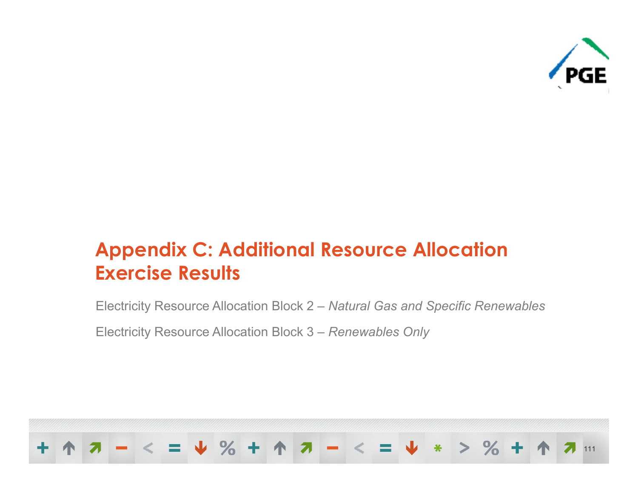

## **Appendix C: Additional Resource Allocation Exercise Results**

Electricity Resource Allocation Block 2 – *Natural Gas and Specific Renewables*

Electricity Resource Allocation Block 3 – *Renewables Only*

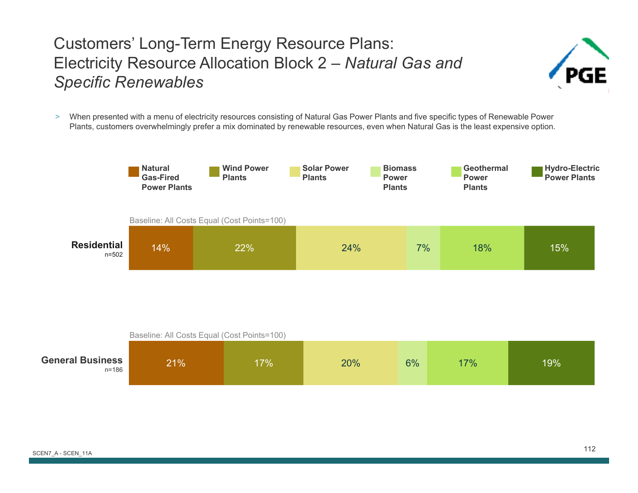#### Customers' Long-Term Energy Resource Plans: Electricity Resource Allocation Block 2 – *Natural Gas and Specific Renewables*



> When presented with a menu of electricity resources consisting of Natural Gas Power Plants and five specific types of Renewable Power Plants, customers overwhelmingly prefer a mix dominated by renewable resources, even when Natural Gas is the least expensive option.



|                                  | Baseline: All Costs Equal (Cost Points=100) |     |     |    |     |     |  |  |  |  |
|----------------------------------|---------------------------------------------|-----|-----|----|-----|-----|--|--|--|--|
| <b>General Business</b><br>n=186 | 21%                                         | 17% | 20% | 6% | 17% | 19% |  |  |  |  |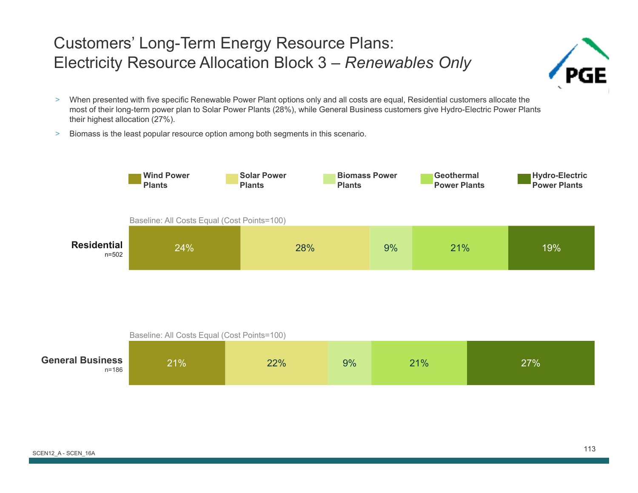#### Customers' Long-Term Energy Resource Plans: Electricity Resource Allocation Block 3 – *Renewables Only*



- > When presented with five specific Renewable Power Plant options only and all costs are equal, Residential customers allocate the most of their long-term power plan to Solar Power Plants (28%), while General Business customers give Hydro-Electric Power Plants their highest allocation (27%).
- $\geq$ Biomass is the least popular resource option among both segments in this scenario.



|                                  | Baseline: All Costs Equal (Cost Points=100) |     |    |     |     |  |  |  |  |  |
|----------------------------------|---------------------------------------------|-----|----|-----|-----|--|--|--|--|--|
| <b>General Business</b><br>n=186 | 21%                                         | 22% | 9% | 21% | 27% |  |  |  |  |  |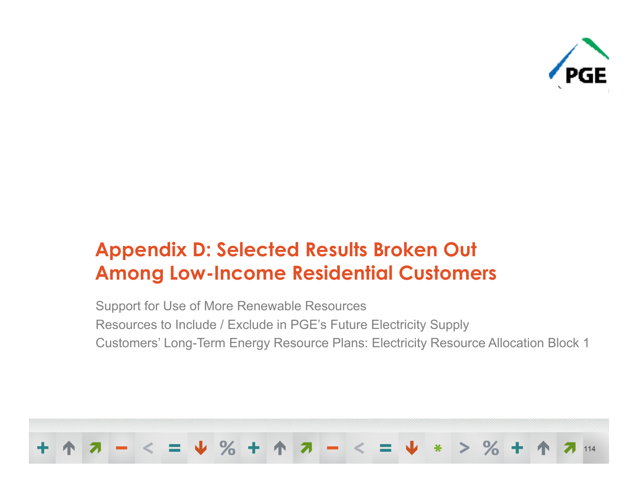

## **Appendix D: Selected Results Broken Out Among Low-Income Residential Customers**

Support for Use of More Renewable Resources Resources to Include / Exclude in PGE's Future Electricity Supply Customers' Long-Term Energy Resource Plans: Electricity Resource Allocation Block 1

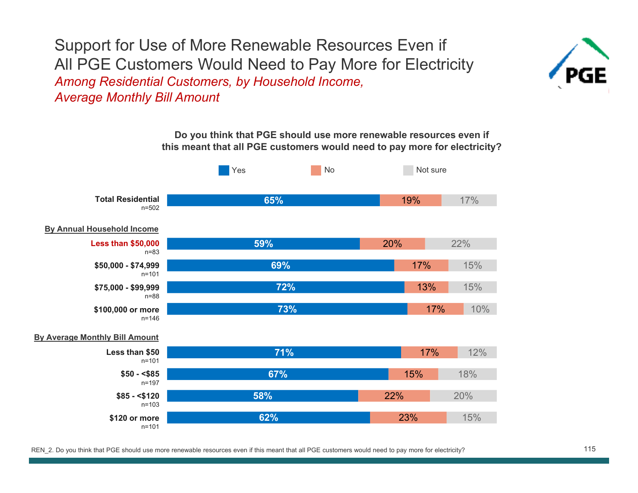Support for Use of More Renewable Resources Even if All PGE Customers Would Need to Pay More for Electricity *Among Residential Customers, by Household Income, Average Monthly Bill Amount*



**Do you think that PGE should use more renewable resources even if this meant that all PGE customers would need to pay more for electricity?**

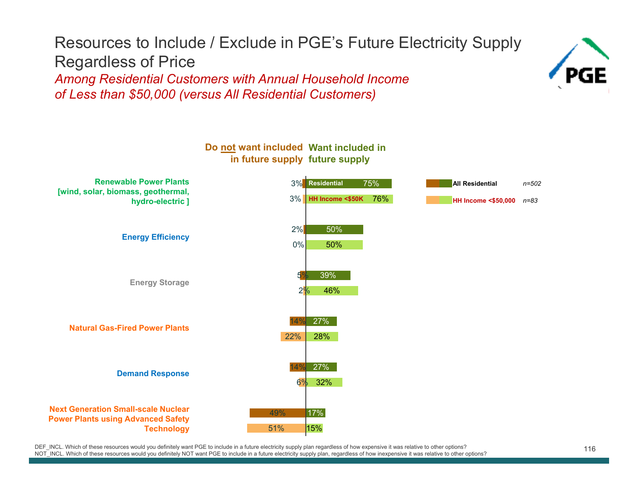#### Resources to Include / Exclude in PGE's Future Electricity Supply Regardless of Price *Among Residential Customers with Annual Household Income of Less than \$50,000 (versus All Residential Customers)*





DEF\_INCL. Which of these resources would you definitely want PGE to include in a future electricity supply plan regardless of how expensive it was relative to other options?<br>NOT\_INCL. Which of these resources would you def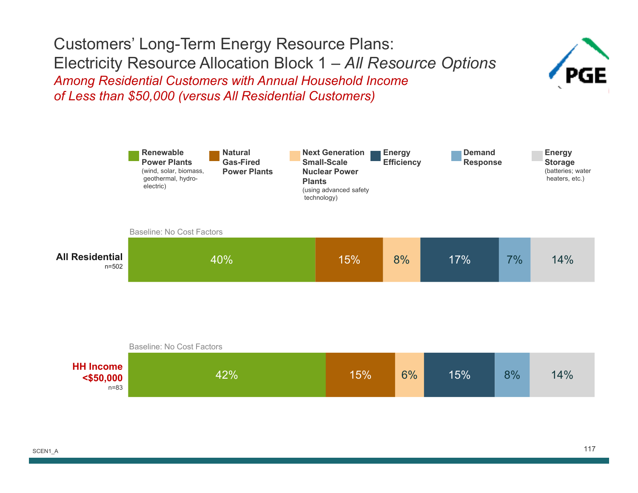#### Customers' Long-Term Energy Resource Plans: Electricity Resource Allocation Block 1 – *All Resource Options Among Residential Customers with Annual Household Income of Less than \$50,000 (versus All Residential Customers)*





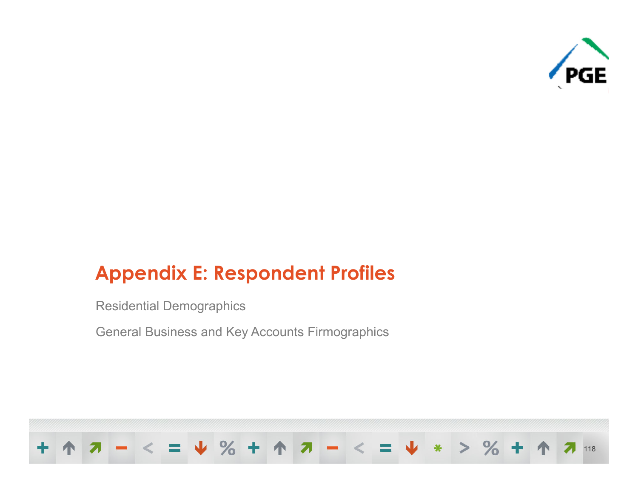

## **Appendix E: Respondent Profiles**

Residential Demographics

General Business and Key Accounts Firmographics

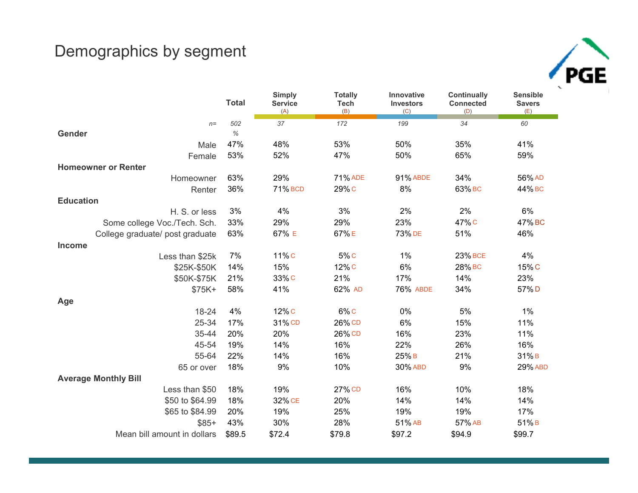#### Demographics by segment



|                                 | <b>Total</b> | <b>Simply</b><br><b>Service</b><br>(A) | <b>Totally</b><br><b>Tech</b><br>(B) | Innovative<br>Investors<br>(C) | <b>Continually</b><br><b>Connected</b><br>(D) | <b>Sensible</b><br><b>Savers</b><br>(E) |
|---------------------------------|--------------|----------------------------------------|--------------------------------------|--------------------------------|-----------------------------------------------|-----------------------------------------|
| $n=$                            | 502          | 37                                     | 172                                  | 199                            | 34                                            | 60                                      |
| Gender                          | $\%$         |                                        |                                      |                                |                                               |                                         |
| Male                            | 47%          | 48%                                    | 53%                                  | 50%                            | 35%                                           | 41%                                     |
| Female                          | 53%          | 52%                                    | 47%                                  | 50%                            | 65%                                           | 59%                                     |
| <b>Homeowner or Renter</b>      |              |                                        |                                      |                                |                                               |                                         |
| Homeowner                       | 63%          | 29%                                    | <b>71% ADE</b>                       | <b>91% ABDE</b>                | 34%                                           | 56% AD                                  |
| Renter                          | 36%          | <b>71% BCD</b>                         | 29% C                                | 8%                             | 63% BC                                        | 44% BC                                  |
| <b>Education</b>                |              |                                        |                                      |                                |                                               |                                         |
| H. S. or less                   | 3%           | 4%                                     | 3%                                   | 2%                             | 2%                                            | 6%                                      |
| Some college Voc./Tech. Sch.    | 33%          | 29%                                    | 29%                                  | 23%                            | 47% C                                         | 47% BC                                  |
| College graduate/ post graduate | 63%          | 67% E                                  | 67%E                                 | 73% DE                         | 51%                                           | 46%                                     |
| <b>Income</b>                   |              |                                        |                                      |                                |                                               |                                         |
| Less than \$25k                 | 7%           | 11%C                                   | 5% C                                 | 1%                             | <b>23% BCE</b>                                | 4%                                      |
| \$25K-\$50K                     | 14%          | 15%                                    | 12% C                                | 6%                             | 28% вс                                        | 15%C                                    |
| \$50K-\$75K                     | 21%          | 33% C                                  | 21%                                  | 17%                            | 14%                                           | 23%                                     |
| $$75K+$                         | 58%          | 41%                                    | 62% AD                               | <b>76% ABDE</b>                | 34%                                           | 57%D                                    |
| Age                             |              |                                        |                                      |                                |                                               |                                         |
| 18-24                           | 4%           | 12% <sub>C</sub>                       | $6\%$ C                              | 0%                             | 5%                                            | 1%                                      |
| 25-34                           | 17%          | 31% CD                                 | 26% CD                               | 6%                             | 15%                                           | 11%                                     |
| 35-44                           | 20%          | 20%                                    | 26% CD                               | 16%                            | 23%                                           | 11%                                     |
| 45-54                           | 19%          | 14%                                    | 16%                                  | 22%                            | 26%                                           | 16%                                     |
| 55-64                           | 22%          | 14%                                    | 16%                                  | 25%B                           | 21%                                           | 31%B                                    |
| 65 or over                      | 18%          | 9%                                     | 10%                                  | 30% ABD                        | 9%                                            | <b>29% ABD</b>                          |
| <b>Average Monthly Bill</b>     |              |                                        |                                      |                                |                                               |                                         |
| Less than \$50                  | 18%          | 19%                                    | 27% CD                               | 16%                            | 10%                                           | 18%                                     |
| \$50 to \$64.99                 | 18%          | 32% CE                                 | 20%                                  | 14%                            | 14%                                           | 14%                                     |
| \$65 to \$84.99                 | 20%          | 19%                                    | 25%                                  | 19%                            | 19%                                           | 17%                                     |
| $$85+$                          | 43%          | 30%                                    | 28%                                  | 51% AB                         | 57% AB                                        | 51%B                                    |
| Mean bill amount in dollars     | \$89.5       | \$72.4                                 | \$79.8                               | \$97.2                         | \$94.9                                        | \$99.7                                  |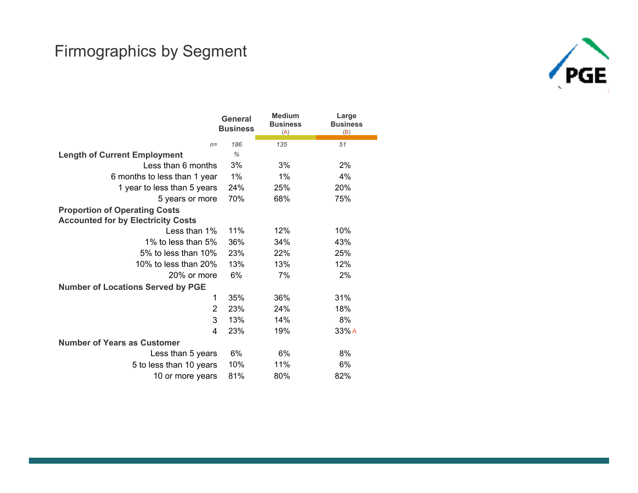#### Firmographics by Segment



|                                           | <b>General</b><br><b>Business</b> | <b>Medium</b><br><b>Business</b><br>(A) | Large<br><b>Business</b><br>(B) |
|-------------------------------------------|-----------------------------------|-----------------------------------------|---------------------------------|
| $n=$                                      | 186                               | 135                                     | 51                              |
| <b>Length of Current Employment</b>       | $\frac{9}{6}$                     |                                         |                                 |
| Less than 6 months                        | 3%                                | 3%                                      | 2%                              |
| 6 months to less than 1 year              | 1%                                | 1%                                      | 4%                              |
| 1 year to less than 5 years               | 24%                               | 25%                                     | 20%                             |
| 5 years or more                           | 70%                               | 68%                                     | 75%                             |
| <b>Proportion of Operating Costs</b>      |                                   |                                         |                                 |
| <b>Accounted for by Electricity Costs</b> |                                   |                                         |                                 |
| Less than 1%                              | 11%                               | 12%                                     | 10%                             |
| 1% to less than 5%                        | 36%                               | 34%                                     | 43%                             |
| 5% to less than 10%                       | 23%                               | 22%                                     | 25%                             |
| 10% to less than 20%                      | 13%                               | 13%                                     | 12%                             |
| 20% or more                               | 6%                                | 7%                                      | 2%                              |
| <b>Number of Locations Served by PGE</b>  |                                   |                                         |                                 |
| 1                                         | 35%                               | 36%                                     | 31%                             |
| $\overline{2}$                            | 23%                               | 24%                                     | 18%                             |
| 3                                         | 13%                               | 14%                                     | 8%                              |
| 4                                         | 23%                               | 19%                                     | 33%A                            |
| <b>Number of Years as Customer</b>        |                                   |                                         |                                 |
| Less than 5 years                         | 6%                                | 6%                                      | 8%                              |
| 5 to less than 10 years                   | 10%                               | 11%                                     | 6%                              |
| 10 or more years                          | 81%                               | 80%                                     | 82%                             |